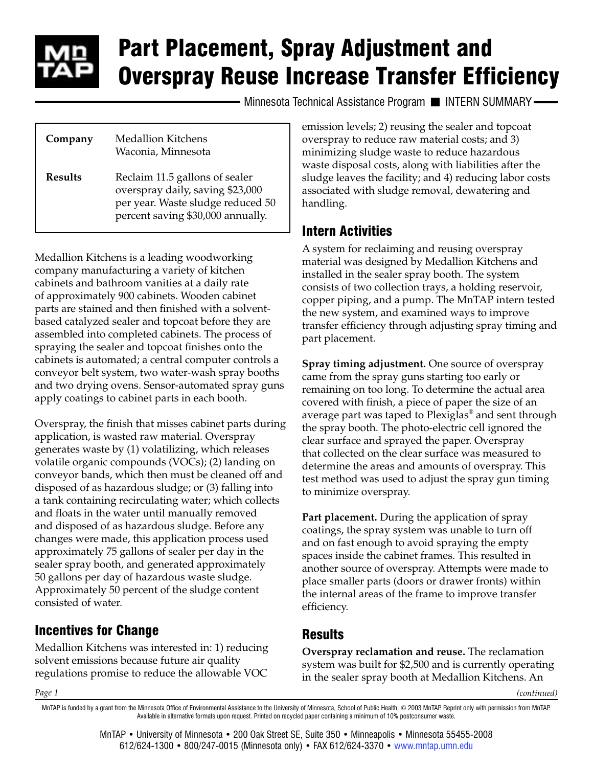

# Part Placement, Spray Adjustment and Overspray Reuse Increase Transfer Efficiency

Minnesota Technical Assistance Program II INTERN SUMMARY-

| Company        | Medallion Kitchens<br>Waconia, Minnesota                                                                                                     |
|----------------|----------------------------------------------------------------------------------------------------------------------------------------------|
| <b>Results</b> | Reclaim 11.5 gallons of sealer<br>overspray daily, saving \$23,000<br>per year. Waste sludge reduced 50<br>percent saving \$30,000 annually. |

Medallion Kitchens is a leading woodworking company manufacturing a variety of kitchen cabinets and bathroom vanities at a daily rate of approximately 900 cabinets. Wooden cabinet parts are stained and then finished with a solventbased catalyzed sealer and topcoat before they are assembled into completed cabinets. The process of spraying the sealer and topcoat finishes onto the cabinets is automated; a central computer controls a conveyor belt system, two water-wash spray booths and two drying ovens. Sensor-automated spray guns apply coatings to cabinet parts in each booth.

Overspray, the finish that misses cabinet parts during application, is wasted raw material. Overspray generates waste by (1) volatilizing, which releases volatile organic compounds (VOCs); (2) landing on conveyor bands, which then must be cleaned off and disposed of as hazardous sludge; or (3) falling into a tank containing recirculating water; which collects and floats in the water until manually removed and disposed of as hazardous sludge. Before any changes were made, this application process used approximately 75 gallons of sealer per day in the sealer spray booth, and generated approximately 50 gallons per day of hazardous waste sludge. Approximately 50 percent of the sludge content consisted of water.

### Incentives for Change

Medallion Kitchens was interested in: 1) reducing solvent emissions because future air quality regulations promise to reduce the allowable VOC

emission levels; 2) reusing the sealer and topcoat overspray to reduce raw material costs; and 3) minimizing sludge waste to reduce hazardous waste disposal costs, along with liabilities after the sludge leaves the facility; and 4) reducing labor costs associated with sludge removal, dewatering and handling.

#### Intern Activities

A system for reclaiming and reusing overspray material was designed by Medallion Kitchens and installed in the sealer spray booth. The system consists of two collection trays, a holding reservoir, copper piping, and a pump. The MnTAP intern tested the new system, and examined ways to improve transfer efficiency through adjusting spray timing and part placement.

**Spray timing adjustment.** One source of overspray came from the spray guns starting too early or remaining on too long. To determine the actual area covered with finish, a piece of paper the size of an average part was taped to Plexiglas® and sent through the spray booth. The photo-electric cell ignored the clear surface and sprayed the paper. Overspray that collected on the clear surface was measured to determine the areas and amounts of overspray. This test method was used to adjust the spray gun timing to minimize overspray.

**Part placement.** During the application of spray coatings, the spray system was unable to turn off and on fast enough to avoid spraying the empty spaces inside the cabinet frames. This resulted in another source of overspray. Attempts were made to place smaller parts (doors or drawer fronts) within the internal areas of the frame to improve transfer efficiency.

## Results

**Overspray reclamation and reuse.** The reclamation system was built for \$2,500 and is currently operating in the sealer spray booth at Medallion Kitchens. An

*(continued)*

*Page 1*

MnTAP is funded by a grant from the Minnesota Office of Environmental Assistance to the University of Minnesota, School of Public Health. © 2003 MnTAP. Reprint only with permission from MnTAP. Available in alternative formats upon request. Printed on recycled paper containing a minimum of 10% postconsumer waste.